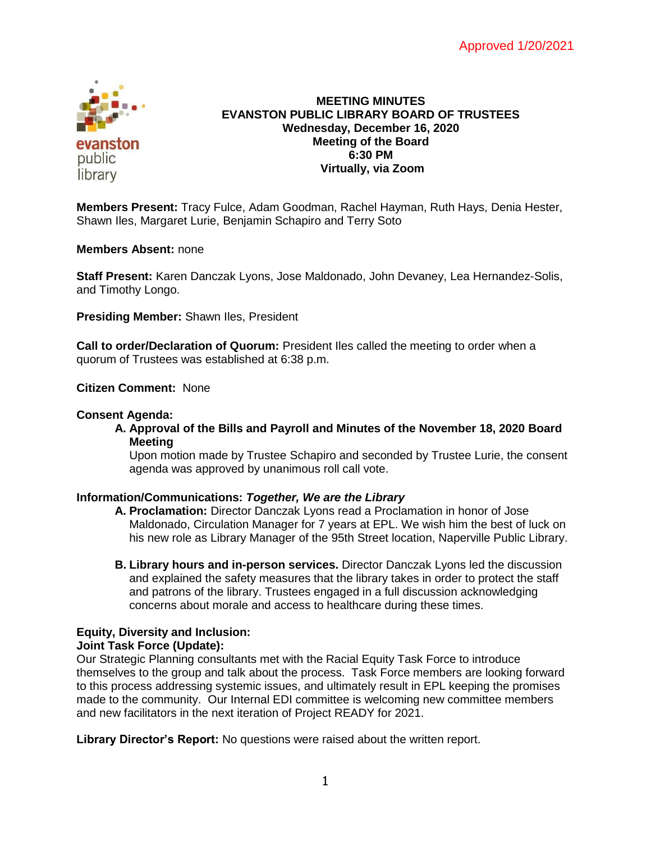

## **MEETING MINUTES EVANSTON PUBLIC LIBRARY BOARD OF TRUSTEES Wednesday, December 16, 2020 Meeting of the Board 6:30 PM Virtually, via Zoom**

**Members Present:** Tracy Fulce, Adam Goodman, Rachel Hayman, Ruth Hays, Denia Hester, Shawn Iles, Margaret Lurie, Benjamin Schapiro and Terry Soto

### **Members Absent:** none

**Staff Present:** Karen Danczak Lyons, Jose Maldonado, John Devaney, Lea Hernandez-Solis, and Timothy Longo.

**Presiding Member:** Shawn Iles, President

**Call to order/Declaration of Quorum:** President Iles called the meeting to order when a quorum of Trustees was established at 6:38 p.m.

**Citizen Comment:** None

### **Consent Agenda:**

**A. Approval of the Bills and Payroll and Minutes of the November 18, 2020 Board Meeting**

Upon motion made by Trustee Schapiro and seconded by Trustee Lurie, the consent agenda was approved by unanimous roll call vote.

### **Information/Communications:** *Together, We are the Library*

- **A. Proclamation:** Director Danczak Lyons read a Proclamation in honor of Jose Maldonado, Circulation Manager for 7 years at EPL. We wish him the best of luck on his new role as Library Manager of the 95th Street location, Naperville Public Library.
- **B. Library hours and in-person services.** Director Danczak Lyons led the discussion and explained the safety measures that the library takes in order to protect the staff and patrons of the library. Trustees engaged in a full discussion acknowledging concerns about morale and access to healthcare during these times.

# **Equity, Diversity and Inclusion:**

### **Joint Task Force (Update):**

Our Strategic Planning consultants met with the Racial Equity Task Force to introduce themselves to the group and talk about the process. Task Force members are looking forward to this process addressing systemic issues, and ultimately result in EPL keeping the promises made to the community. Our Internal EDI committee is welcoming new committee members and new facilitators in the next iteration of Project READY for 2021.

**Library Director's Report:** No questions were raised about the written report.